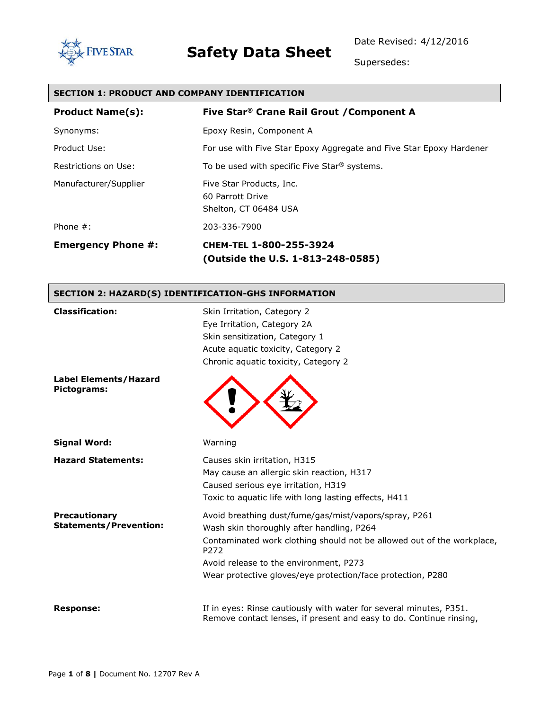



Supersedes:

#### **SECTION 1: PRODUCT AND COMPANY IDENTIFICATION**

| <b>Product Name(s):</b>   | Five Star <sup>®</sup> Crane Rail Grout / Component A                 |
|---------------------------|-----------------------------------------------------------------------|
| Synonyms:                 | Epoxy Resin, Component A                                              |
| Product Use:              | For use with Five Star Epoxy Aggregate and Five Star Epoxy Hardener   |
| Restrictions on Use:      | To be used with specific Five Star <sup>®</sup> systems.              |
| Manufacturer/Supplier     | Five Star Products, Inc.<br>60 Parrott Drive<br>Shelton, CT 06484 USA |
| Phone $#$ :               | 203-336-7900                                                          |
| <b>Emergency Phone #:</b> | CHEM-TEL 1-800-255-3924<br>(Outside the U.S. 1-813-248-0585)          |

#### **SECTION 2: HAZARD(S) IDENTIFICATION-GHS INFORMATION**

| <b>Classification:</b>                                | Skin Irritation, Category 2<br>Eye Irritation, Category 2A<br>Skin sensitization, Category 1<br>Acute aquatic toxicity, Category 2                                                                                                                                                            |
|-------------------------------------------------------|-----------------------------------------------------------------------------------------------------------------------------------------------------------------------------------------------------------------------------------------------------------------------------------------------|
| <b>Label Elements/Hazard</b><br>Pictograms:           | Chronic aquatic toxicity, Category 2                                                                                                                                                                                                                                                          |
| <b>Signal Word:</b>                                   | Warning                                                                                                                                                                                                                                                                                       |
| <b>Hazard Statements:</b>                             | Causes skin irritation, H315<br>May cause an allergic skin reaction, H317<br>Caused serious eye irritation, H319<br>Toxic to aquatic life with long lasting effects, H411                                                                                                                     |
| <b>Precautionary</b><br><b>Statements/Prevention:</b> | Avoid breathing dust/fume/gas/mist/vapors/spray, P261<br>Wash skin thoroughly after handling, P264<br>Contaminated work clothing should not be allowed out of the workplace,<br>P272<br>Avoid release to the environment, P273<br>Wear protective gloves/eye protection/face protection, P280 |
| <b>Response:</b>                                      | If in eyes: Rinse cautiously with water for several minutes, P351.<br>Remove contact lenses, if present and easy to do. Continue rinsing,                                                                                                                                                     |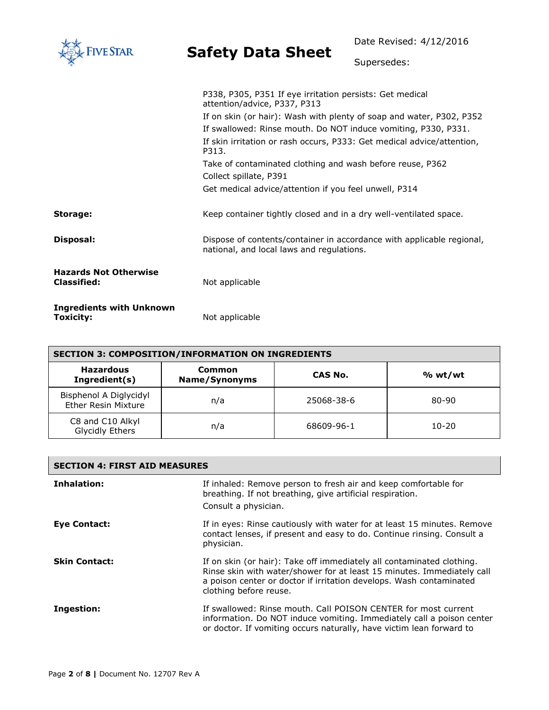| <b>FIVE STAR</b>                                   | <b>Safety Data Sheet</b>                                                                                           | Date Revised: 4/12/2016 |
|----------------------------------------------------|--------------------------------------------------------------------------------------------------------------------|-------------------------|
|                                                    |                                                                                                                    | Supersedes:             |
|                                                    | P338, P305, P351 If eye irritation persists: Get medical<br>attention/advice, P337, P313                           |                         |
|                                                    | If on skin (or hair): Wash with plenty of soap and water, P302, P352                                               |                         |
|                                                    | If swallowed: Rinse mouth. Do NOT induce vomiting, P330, P331.                                                     |                         |
|                                                    | If skin irritation or rash occurs, P333: Get medical advice/attention,<br>P313.                                    |                         |
|                                                    | Take of contaminated clothing and wash before reuse, P362                                                          |                         |
|                                                    | Collect spillate, P391                                                                                             |                         |
|                                                    | Get medical advice/attention if you feel unwell, P314                                                              |                         |
| Storage:                                           | Keep container tightly closed and in a dry well-ventilated space.                                                  |                         |
| Disposal:                                          | Dispose of contents/container in accordance with applicable regional,<br>national, and local laws and regulations. |                         |
| <b>Hazards Not Otherwise</b><br><b>Classified:</b> | Not applicable                                                                                                     |                         |
| <b>Ingredients with Unknown</b><br>Toxicity:       | Not applicable                                                                                                     |                         |

| <b>SECTION 3: COMPOSITION/INFORMATION ON INGREDIENTS</b> |                         |            |         |
|----------------------------------------------------------|-------------------------|------------|---------|
| <b>Hazardous</b><br>Ingredient(s)                        | Common<br>Name/Synonyms | CAS No.    | % wt/wt |
| Bisphenol A Diglycidyl<br><b>Ether Resin Mixture</b>     | n/a                     | 25068-38-6 | 80-90   |
| C8 and C10 Alkyl<br>Glycidly Ethers                      | n/a                     | 68609-96-1 | 10-20   |

| <b>SECTION 4: FIRST AID MEASURES</b> |                                                                                                                                                                                                                                                  |  |
|--------------------------------------|--------------------------------------------------------------------------------------------------------------------------------------------------------------------------------------------------------------------------------------------------|--|
| Inhalation:                          | If inhaled: Remove person to fresh air and keep comfortable for<br>breathing. If not breathing, give artificial respiration.<br>Consult a physician.                                                                                             |  |
| <b>Eye Contact:</b>                  | If in eyes: Rinse cautiously with water for at least 15 minutes. Remove<br>contact lenses, if present and easy to do. Continue rinsing. Consult a<br>physician.                                                                                  |  |
| <b>Skin Contact:</b>                 | If on skin (or hair): Take off immediately all contaminated clothing.<br>Rinse skin with water/shower for at least 15 minutes. Immediately call<br>a poison center or doctor if irritation develops. Wash contaminated<br>clothing before reuse. |  |
| Ingestion:                           | If swallowed: Rinse mouth. Call POISON CENTER for most current<br>information. Do NOT induce vomiting. Immediately call a poison center<br>or doctor. If vomiting occurs naturally, have victim lean forward to                                  |  |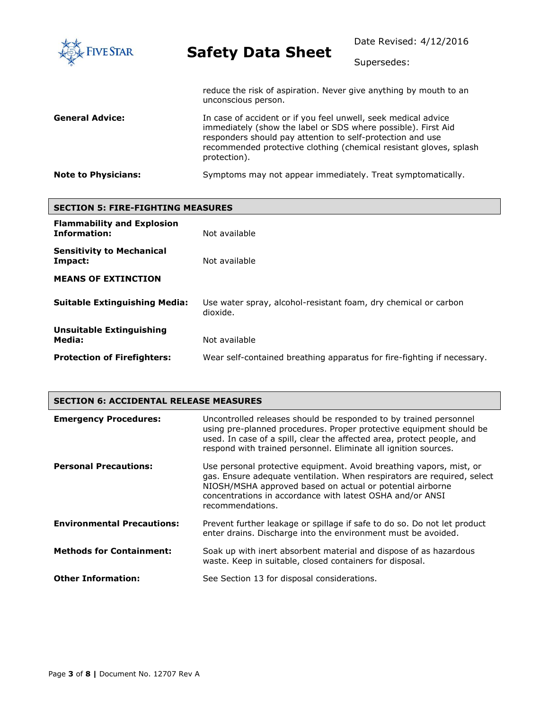| <b>FIVE STAR</b>           | <b>Safety Data Sheet</b>                                                                                                                                                                                                                                                            | Date Revised: 4/12/2016<br>Supersedes: |
|----------------------------|-------------------------------------------------------------------------------------------------------------------------------------------------------------------------------------------------------------------------------------------------------------------------------------|----------------------------------------|
|                            | reduce the risk of aspiration. Never give anything by mouth to an<br>unconscious person.                                                                                                                                                                                            |                                        |
| <b>General Advice:</b>     | In case of accident or if you feel unwell, seek medical advice<br>immediately (show the label or SDS where possible). First Aid<br>responders should pay attention to self-protection and use<br>recommended protective clothing (chemical resistant gloves, splash<br>protection). |                                        |
| <b>Note to Physicians:</b> | Symptoms may not appear immediately. Treat symptomatically.                                                                                                                                                                                                                         |                                        |

| <b>SECTION 5: FIRE-FIGHTING MEASURES</b>          |                                                                             |  |
|---------------------------------------------------|-----------------------------------------------------------------------------|--|
| <b>Flammability and Explosion</b><br>Information: | Not available                                                               |  |
| <b>Sensitivity to Mechanical</b><br>Impact:       | Not available                                                               |  |
| <b>MEANS OF EXTINCTION</b>                        |                                                                             |  |
| <b>Suitable Extinguishing Media:</b>              | Use water spray, alcohol-resistant foam, dry chemical or carbon<br>dioxide. |  |
| <b>Unsuitable Extinguishing</b><br>Media:         | Not available                                                               |  |
| <b>Protection of Firefighters:</b>                | Wear self-contained breathing apparatus for fire-fighting if necessary.     |  |

| <b>SECTION 6: ACCIDENTAL RELEASE MEASURES</b> |                                                                                                                                                                                                                                                                                              |  |
|-----------------------------------------------|----------------------------------------------------------------------------------------------------------------------------------------------------------------------------------------------------------------------------------------------------------------------------------------------|--|
| <b>Emergency Procedures:</b>                  | Uncontrolled releases should be responded to by trained personnel<br>using pre-planned procedures. Proper protective equipment should be<br>used. In case of a spill, clear the affected area, protect people, and<br>respond with trained personnel. Eliminate all ignition sources.        |  |
| <b>Personal Precautions:</b>                  | Use personal protective equipment. Avoid breathing vapors, mist, or<br>gas. Ensure adequate ventilation. When respirators are required, select<br>NIOSH/MSHA approved based on actual or potential airborne<br>concentrations in accordance with latest OSHA and/or ANSI<br>recommendations. |  |
| <b>Environmental Precautions:</b>             | Prevent further leakage or spillage if safe to do so. Do not let product<br>enter drains. Discharge into the environment must be avoided.                                                                                                                                                    |  |
| <b>Methods for Containment:</b>               | Soak up with inert absorbent material and dispose of as hazardous<br>waste. Keep in suitable, closed containers for disposal.                                                                                                                                                                |  |
| <b>Other Information:</b>                     | See Section 13 for disposal considerations.                                                                                                                                                                                                                                                  |  |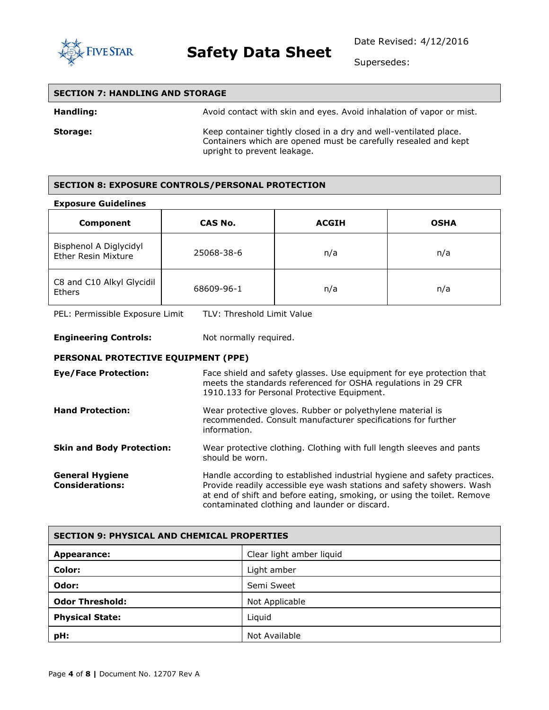

Supersedes:

| <b>SECTION 7: HANDLING AND STORAGE</b> |                                                                                                                                                                     |  |
|----------------------------------------|---------------------------------------------------------------------------------------------------------------------------------------------------------------------|--|
| <b>Handling:</b>                       | Avoid contact with skin and eyes. Avoid inhalation of vapor or mist.                                                                                                |  |
| Storage:                               | Keep container tightly closed in a dry and well-ventilated place.<br>Containers which are opened must be carefully resealed and kept<br>upright to prevent leakage. |  |

#### **SECTION 8: EXPOSURE CONTROLS/PERSONAL PROTECTION**

#### **Exposure Guidelines**

| Component                                            | <b>CAS No.</b> | <b>ACGIH</b> | <b>OSHA</b> |
|------------------------------------------------------|----------------|--------------|-------------|
| Bisphenol A Diglycidyl<br><b>Ether Resin Mixture</b> | 25068-38-6     | n/a          | n/a         |
| C8 and C10 Alkyl Glycidil<br><b>Ethers</b>           | 68609-96-1     | n/a          | n/a         |

PEL: Permissible Exposure Limit TLV: Threshold Limit Value

**Engineering Controls:** Not normally required.

#### **PERSONAL PROTECTIVE EQUIPMENT (PPE)**

| <b>Eye/Face Protection:</b>                      | Face shield and safety glasses. Use equipment for eye protection that<br>meets the standards referenced for OSHA regulations in 29 CFR<br>1910.133 for Personal Protective Equipment.                                                                                         |
|--------------------------------------------------|-------------------------------------------------------------------------------------------------------------------------------------------------------------------------------------------------------------------------------------------------------------------------------|
| <b>Hand Protection:</b>                          | Wear protective gloves. Rubber or polyethylene material is<br>recommended. Consult manufacturer specifications for further<br>information.                                                                                                                                    |
| <b>Skin and Body Protection:</b>                 | Wear protective clothing. Clothing with full length sleeves and pants<br>should be worn.                                                                                                                                                                                      |
| <b>General Hygiene</b><br><b>Considerations:</b> | Handle according to established industrial hygiene and safety practices.<br>Provide readily accessible eye wash stations and safety showers. Wash<br>at end of shift and before eating, smoking, or using the toilet. Remove<br>contaminated clothing and launder or discard. |

| <b>SECTION 9: PHYSICAL AND CHEMICAL PROPERTIES</b> |                          |  |
|----------------------------------------------------|--------------------------|--|
| Appearance:                                        | Clear light amber liquid |  |
| Color:                                             | Light amber              |  |
| Odor:                                              | Semi Sweet               |  |
| <b>Odor Threshold:</b>                             | Not Applicable           |  |
| <b>Physical State:</b>                             | Liquid                   |  |
| pH:                                                | Not Available            |  |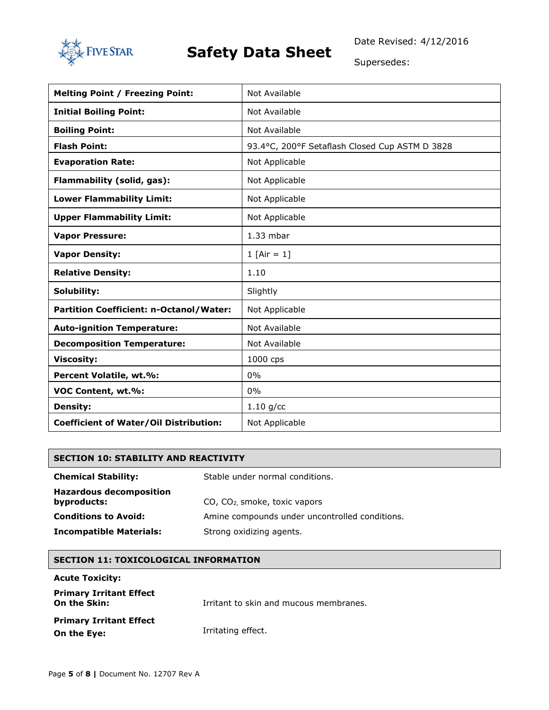

Supersedes:

| <b>Melting Point / Freezing Point:</b>        | Not Available                                  |  |
|-----------------------------------------------|------------------------------------------------|--|
| <b>Initial Boiling Point:</b>                 | Not Available                                  |  |
| <b>Boiling Point:</b>                         | Not Available                                  |  |
| <b>Flash Point:</b>                           | 93.4°C, 200°F Setaflash Closed Cup ASTM D 3828 |  |
| <b>Evaporation Rate:</b>                      | Not Applicable                                 |  |
| Flammability (solid, gas):                    | Not Applicable                                 |  |
| <b>Lower Flammability Limit:</b>              | Not Applicable                                 |  |
| <b>Upper Flammability Limit:</b>              | Not Applicable                                 |  |
| <b>Vapor Pressure:</b>                        | $1.33$ mbar                                    |  |
| <b>Vapor Density:</b>                         | 1 $[Air = 1]$                                  |  |
| <b>Relative Density:</b>                      | 1.10                                           |  |
| Solubility:                                   | Slightly                                       |  |
| Partition Coefficient: n-Octanol/Water:       | Not Applicable                                 |  |
| <b>Auto-ignition Temperature:</b>             | Not Available                                  |  |
| <b>Decomposition Temperature:</b>             | Not Available                                  |  |
| <b>Viscosity:</b>                             | 1000 cps                                       |  |
| Percent Volatile, wt.%:                       | 0%                                             |  |
| VOC Content, wt.%:                            | 0%                                             |  |
| <b>Density:</b>                               | $1.10$ g/cc                                    |  |
| <b>Coefficient of Water/Oil Distribution:</b> | Not Applicable                                 |  |

#### **SECTION 10: STABILITY AND REACTIVITY**

| <b>Chemical Stability:</b>                    | Stable under normal conditions.                |  |
|-----------------------------------------------|------------------------------------------------|--|
| <b>Hazardous decomposition</b><br>byproducts: | $CO$ , $CO2$ smoke, toxic vapors               |  |
| <b>Conditions to Avoid:</b>                   | Amine compounds under uncontrolled conditions. |  |
| <b>Incompatible Materials:</b>                | Strong oxidizing agents.                       |  |

#### **SECTION 11: TOXICOLOGICAL INFORMATION**

#### **Acute Toxicity:**

| <b>Primary Irritant Effect</b><br>On the Skin: | Irritant to skin and mucous membranes. |
|------------------------------------------------|----------------------------------------|
| <b>Primary Irritant Effect</b><br>On the Eye:  | Irritating effect.                     |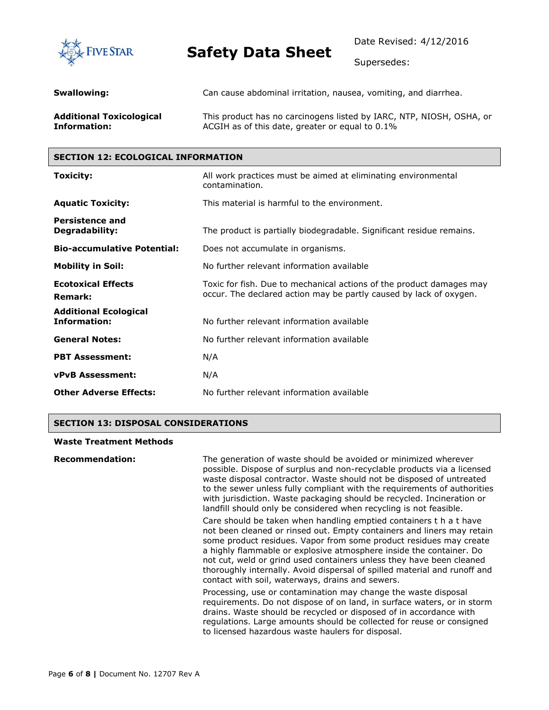

Date Revised: 4/12/2016

Supersedes:

| Swallowing:                     | Can cause abdominal irritation, nausea, vomiting, and diarrhea.      |
|---------------------------------|----------------------------------------------------------------------|
| <b>Additional Toxicological</b> | This product has no carcinogens listed by IARC, NTP, NIOSH, OSHA, or |
| Information:                    | ACGIH as of this date, greater or equal to 0.1%                      |

#### **SECTION 12: ECOLOGICAL INFORMATION**

| Toxicity:                                           | All work practices must be aimed at eliminating environmental<br>contamination.                                                            |  |
|-----------------------------------------------------|--------------------------------------------------------------------------------------------------------------------------------------------|--|
| <b>Aquatic Toxicity:</b>                            | This material is harmful to the environment.                                                                                               |  |
| <b>Persistence and</b><br>Degradability:            | The product is partially biodegradable. Significant residue remains.                                                                       |  |
| <b>Bio-accumulative Potential:</b>                  | Does not accumulate in organisms.                                                                                                          |  |
| <b>Mobility in Soil:</b>                            | No further relevant information available                                                                                                  |  |
| <b>Ecotoxical Effects</b><br><b>Remark:</b>         | Toxic for fish. Due to mechanical actions of the product damages may<br>occur. The declared action may be partly caused by lack of oxygen. |  |
| <b>Additional Ecological</b><br><b>Information:</b> | No further relevant information available                                                                                                  |  |
| <b>General Notes:</b>                               | No further relevant information available                                                                                                  |  |
| <b>PBT Assessment:</b>                              | N/A                                                                                                                                        |  |
| <b>vPvB Assessment:</b>                             | N/A                                                                                                                                        |  |
| <b>Other Adverse Effects:</b>                       | No further relevant information available                                                                                                  |  |

#### **SECTION 13: DISPOSAL CONSIDERATIONS**

#### **Waste Treatment Methods**

| <b>Recommendation:</b> | The generation of waste should be avoided or minimized wherever<br>possible. Dispose of surplus and non-recyclable products via a licensed<br>waste disposal contractor. Waste should not be disposed of untreated<br>to the sewer unless fully compliant with the requirements of authorities<br>with jurisdiction. Waste packaging should be recycled. Incineration or<br>landfill should only be considered when recycling is not feasible.                                                     |
|------------------------|----------------------------------------------------------------------------------------------------------------------------------------------------------------------------------------------------------------------------------------------------------------------------------------------------------------------------------------------------------------------------------------------------------------------------------------------------------------------------------------------------|
|                        | Care should be taken when handling emptied containers t h a t have<br>not been cleaned or rinsed out. Empty containers and liners may retain<br>some product residues. Vapor from some product residues may create<br>a highly flammable or explosive atmosphere inside the container. Do<br>not cut, weld or grind used containers unless they have been cleaned<br>thoroughly internally. Avoid dispersal of spilled material and runoff and<br>contact with soil, waterways, drains and sewers. |
|                        | Processing, use or contamination may change the waste disposal<br>requirements. Do not dispose of on land, in surface waters, or in storm<br>drains. Waste should be recycled or disposed of in accordance with<br>regulations. Large amounts should be collected for reuse or consigned<br>to licensed hazardous waste haulers for disposal.                                                                                                                                                      |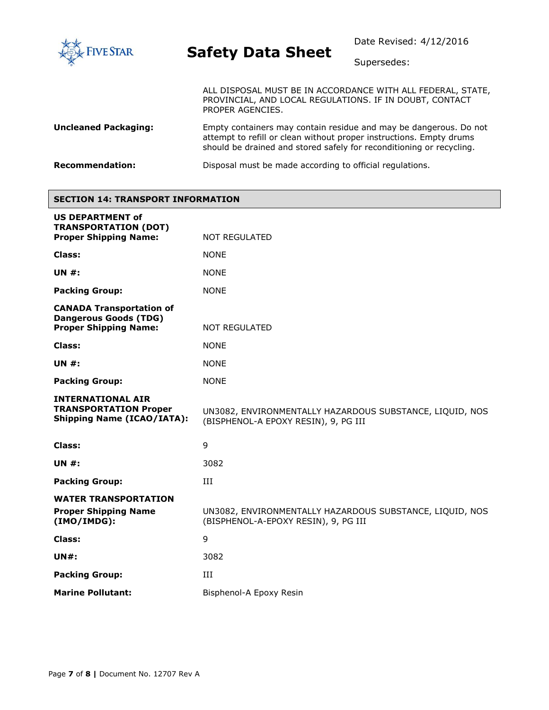

Supersedes:

ALL DISPOSAL MUST BE IN ACCORDANCE WITH ALL FEDERAL, STATE, PROVINCIAL, AND LOCAL REGULATIONS. IF IN DOUBT, CONTACT PROPER AGENCIES.

**Uncleaned Packaging:** Empty containers may contain residue and may be dangerous. Do not attempt to refill or clean without proper instructions. Empty drums should be drained and stored safely for reconditioning or recycling.

**Recommendation:** Disposal must be made according to official regulations.

#### **SECTION 14: TRANSPORT INFORMATION**

| <b>US DEPARTMENT of</b><br><b>TRANSPORTATION (DOT)</b>                                          |                                                                                                  |  |
|-------------------------------------------------------------------------------------------------|--------------------------------------------------------------------------------------------------|--|
| <b>Proper Shipping Name:</b>                                                                    | <b>NOT REGULATED</b>                                                                             |  |
| Class:                                                                                          | <b>NONE</b>                                                                                      |  |
| <b>UN #:</b>                                                                                    | <b>NONE</b>                                                                                      |  |
| <b>Packing Group:</b>                                                                           | <b>NONE</b>                                                                                      |  |
| <b>CANADA Transportation of</b><br><b>Dangerous Goods (TDG)</b><br><b>Proper Shipping Name:</b> | <b>NOT REGULATED</b>                                                                             |  |
|                                                                                                 |                                                                                                  |  |
| Class:                                                                                          | <b>NONE</b>                                                                                      |  |
| <b>UN #:</b>                                                                                    | <b>NONE</b>                                                                                      |  |
| <b>Packing Group:</b>                                                                           | <b>NONE</b>                                                                                      |  |
| <b>INTERNATIONAL AIR</b><br><b>TRANSPORTATION Proper</b><br><b>Shipping Name (ICAO/IATA):</b>   | UN3082, ENVIRONMENTALLY HAZARDOUS SUBSTANCE, LIQUID, NOS<br>(BISPHENOL-A EPOXY RESIN), 9, PG III |  |
| Class:                                                                                          | 9                                                                                                |  |
| <b>UN #:</b>                                                                                    | 3082                                                                                             |  |
| <b>Packing Group:</b>                                                                           | III                                                                                              |  |
| <b>WATER TRANSPORTATION</b>                                                                     |                                                                                                  |  |
| <b>Proper Shipping Name</b><br>(IMO/IMDG):                                                      | UN3082, ENVIRONMENTALLY HAZARDOUS SUBSTANCE, LIQUID, NOS<br>(BISPHENOL-A-EPOXY RESIN), 9, PG III |  |
| Class:                                                                                          | 9                                                                                                |  |
| $UN#$ :                                                                                         | 3082                                                                                             |  |
| <b>Packing Group:</b>                                                                           | Ш                                                                                                |  |
| <b>Marine Pollutant:</b>                                                                        | Bisphenol-A Epoxy Resin                                                                          |  |